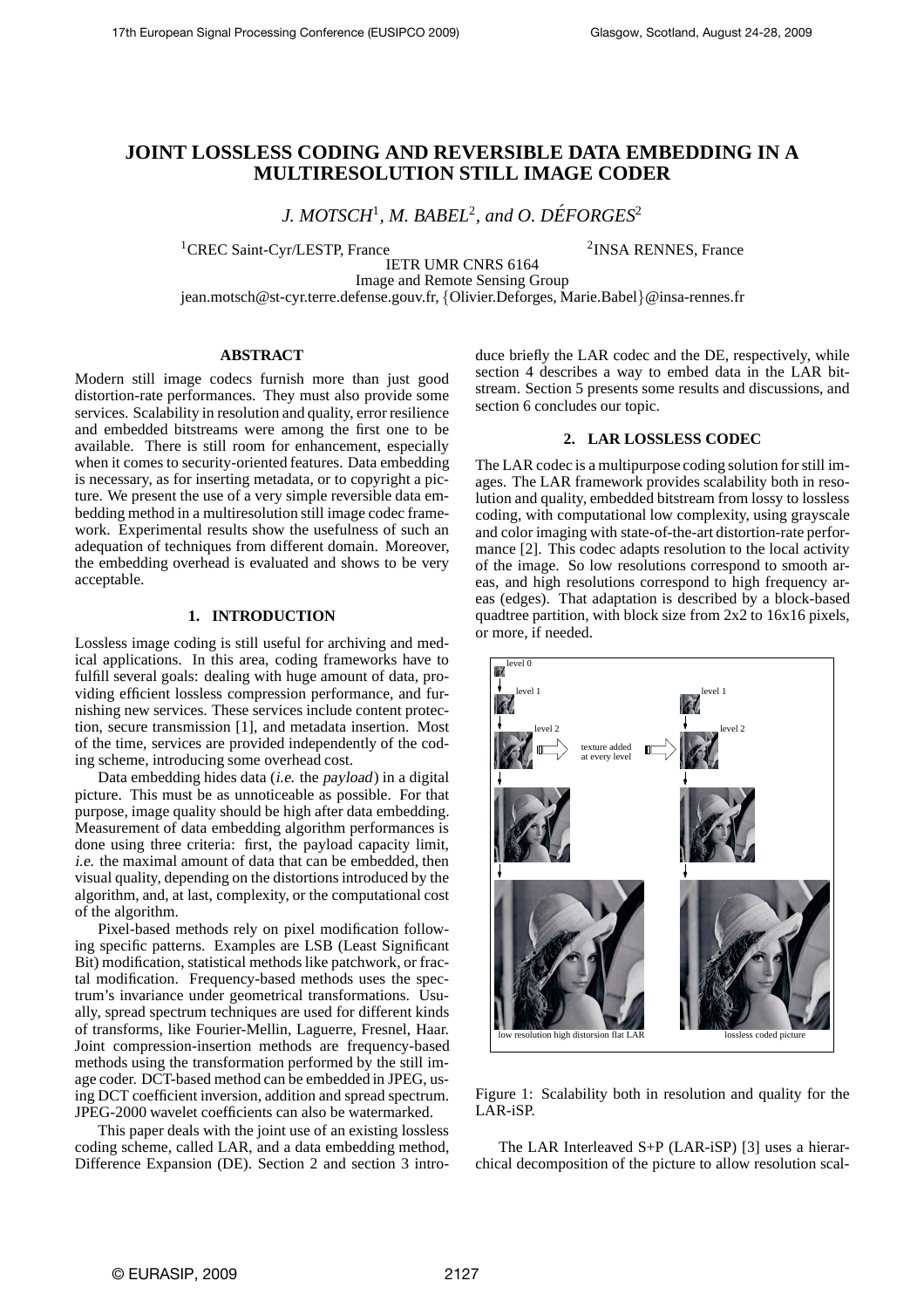# **JOINT LOSSLESS CODING AND REVERSIBLE DATA EMBEDDING IN A MULTIRESOLUTION STILL IMAGE CODER**

*J. MOTSCH<sup>1</sup>, M. BABEL<sup>2</sup>, and O. DÉFORGES<sup>2</sup>* 

<sup>1</sup>CREC Saint-Cyr/LESTP, France

<sup>2</sup>INSA RENNES, France

IETR UMR CNRS 6164 Image and Remote Sensing Group

jean.motsch@st-cyr.terre.defense.gouv.fr, {Olivier.Deforges, Marie.Babel}@insa-rennes.fr

# **ABSTRACT**

Modern still image codecs furnish more than just good distortion-rate performances. They must also provide some services. Scalability in resolution and quality, error resilience and embedded bitstreams were among the first one to be available. There is still room for enhancement, especially when it comes to security-oriented features. Data embedding is necessary, as for inserting metadata, or to copyright a picture. We present the use of a very simple reversible data embedding method in a multiresolution still image codec framework. Experimental results show the usefulness of such an adequation of techniques from different domain. Moreover, the embedding overhead is evaluated and shows to be very acceptable.

# **1. INTRODUCTION**

Lossless image coding is still useful for archiving and medical applications. In this area, coding frameworks have to fulfill several goals: dealing with huge amount of data, providing efficient lossless compression performance, and furnishing new services. These services include content protection, secure transmission [1], and metadata insertion. Most of the time, services are provided independently of the coding scheme, introducing some overhead cost.

Data embedding hides data (i.e. the payload) in a digital picture. This must be as unnoticeable as possible. For that purpose, image quality should be high after data embedding. Measurement of data embedding algorithm performances is done using three criteria: first, the payload capacity limit, i.e. the maximal amount of data that can be embedded, then visual quality, depending on the distortions introduced by the algorithm, and, at last, complexity, or the computational cost of the algorithm.

Pixel-based methods rely on pixel modification following specific patterns. Examples are LSB (Least Significant Bit) modification, statistical methods like patchwork, or fractal modification. Frequency-based methods uses the spectrum's invariance under geometrical transformations. Usually, spread spectrum techniques are used for different kinds of transforms, like Fourier-Mellin, Laguerre, Fresnel, Haar. Joint compression-insertion methods are frequency-based methods using the transformation performed by the still image coder. DCT-based method can be embedded in JPEG, using DCT coefficient inversion, addition and spread spectrum. JPEG-2000 wavelet coefficients can also be watermarked.

This paper deals with the joint use of an existing lossless coding scheme, called LAR, and a data embedding method, Difference Expansion (DE). Section 2 and section 3 introduce briefly the LAR codec and the DE, respectively, while section 4 describes a way to embed data in the LAR bitstream. Section 5 presents some results and discussions, and section 6 concludes our topic.

# **2. LAR LOSSLESS CODEC**

The LAR codec is a multipurpose coding solution for still images. The LAR framework provides scalability both in resolution and quality, embedded bitstream from lossy to lossless coding, with computational low complexity, using grayscale and color imaging with state-of-the-art distortion-rate performance [2]. This codec adapts resolution to the local activity of the image. So low resolutions correspond to smooth areas, and high resolutions correspond to high frequency areas (edges). That adaptation is described by a block-based quadtree partition, with block size from 2x2 to 16x16 pixels, or more, if needed.



Figure 1: Scalability both in resolution and quality for the LAR-iSP.

The LAR Interleaved S+P (LAR-iSP) [3] uses a hierarchical decomposition of the picture to allow resolution scal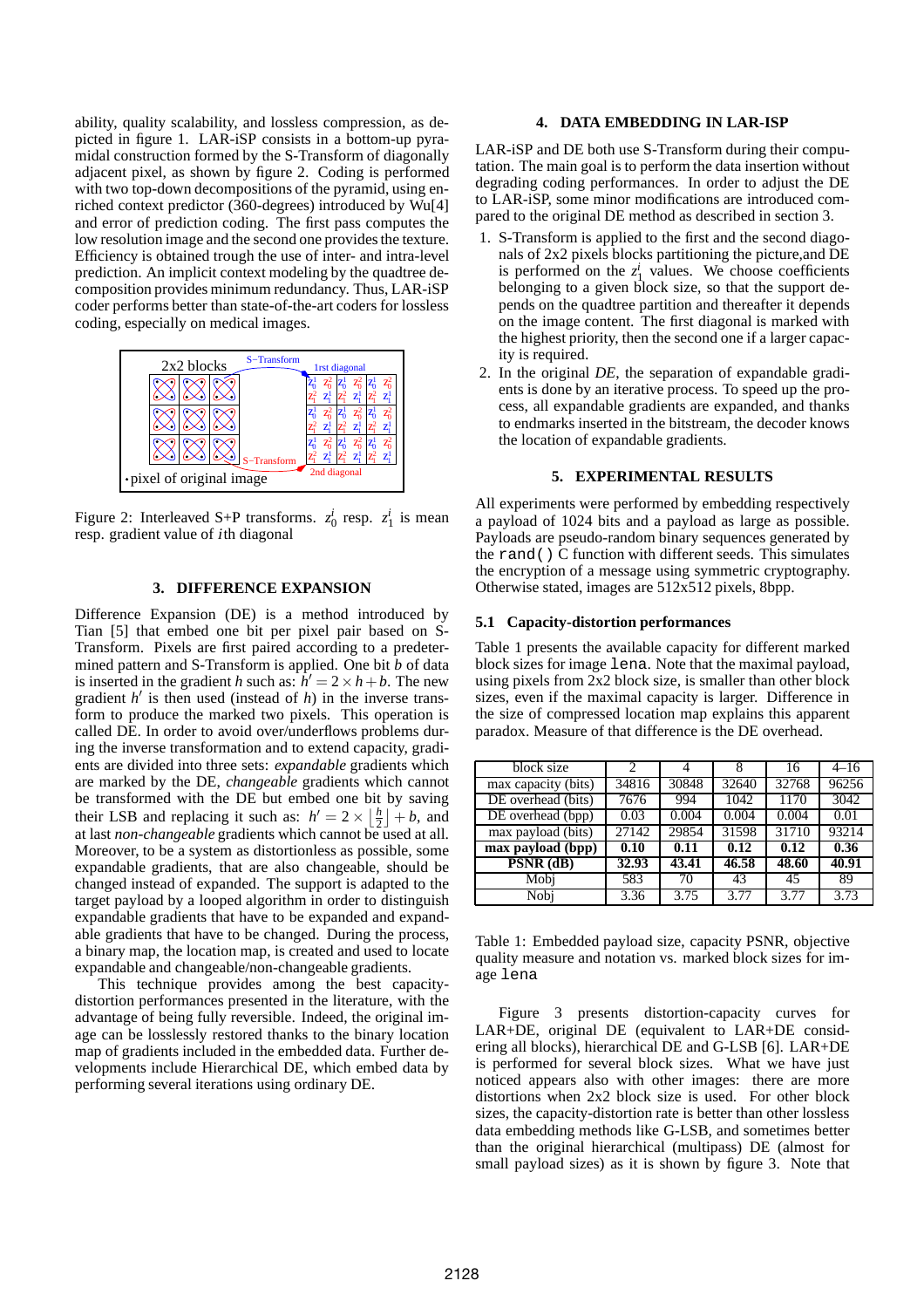ability, quality scalability, and lossless compression, as depicted in figure 1. LAR-iSP consists in a bottom-up pyramidal construction formed by the S-Transform of diagonally adjacent pixel, as shown by figure 2. Coding is performed with two top-down decompositions of the pyramid, using enriched context predictor (360-degrees) introduced by Wu[4] and error of prediction coding. The first pass computes the low resolution image and the second one provides the texture. Efficiency is obtained trough the use of inter- and intra-level prediction. An implicit context modeling by the quadtree decomposition provides minimum redundancy. Thus, LAR-iSP coder performs better than state-of-the-art coders for lossless coding, especially on medical images.



Figure 2: Interleaved S+P transforms.  $z_0^i$  resp.  $z_1^i$  is mean resp. gradient value of <sup>i</sup>th diagonal

# **3. DIFFERENCE EXPANSION**

Difference Expansion (DE) is a method introduced by Tian [5] that embed one bit per pixel pair based on S-Transform. Pixels are first paired according to a predetermined pattern and S-Transform is applied. One bit *b* of data is inserted in the gradient *h* such as:  $\hat{h}' = 2 \times h + b$ . The new gradient *h* ′ is then used (instead of *h*) in the inverse transform to produce the marked two pixels. This operation is called DE. In order to avoid over/underflows problems during the inverse transformation and to extend capacity, gradients are divided into three sets: *expandable* gradients which are marked by the DE, *changeable* gradients which cannot be transformed with the DE but embed one bit by saving their LSB and replacing it such as:  $h' = 2 \times \left\lfloor \frac{h}{2} \right\rfloor + b$ , and at last *non-changeable* gradients which cannot be used at all. Moreover, to be a system as distortionless as possible, some expandable gradients, that are also changeable, should be changed instead of expanded. The support is adapted to the target payload by a looped algorithm in order to distinguish expandable gradients that have to be expanded and expandable gradients that have to be changed. During the process, a binary map, the location map, is created and used to locate expandable and changeable/non-changeable gradients.

This technique provides among the best capacitydistortion performances presented in the literature, with the advantage of being fully reversible. Indeed, the original image can be losslessly restored thanks to the binary location map of gradients included in the embedded data. Further developments include Hierarchical DE, which embed data by performing several iterations using ordinary DE.

### **4. DATA EMBEDDING IN LAR-ISP**

LAR-iSP and DE both use S-Transform during their computation. The main goal is to perform the data insertion without degrading coding performances. In order to adjust the DE to LAR-iSP, some minor modifications are introduced compared to the original DE method as described in section 3.

- 1. S-Transform is applied to the first and the second diagonals of 2x2 pixels blocks partitioning the picture,and DE is performed on the  $z_1^i$  values. We choose coefficients belonging to a given block size, so that the support depends on the quadtree partition and thereafter it depends on the image content. The first diagonal is marked with the highest priority, then the second one if a larger capacity is required.
- 2. In the original *DE*, the separation of expandable gradients is done by an iterative process. To speed up the process, all expandable gradients are expanded, and thanks to endmarks inserted in the bitstream, the decoder knows the location of expandable gradients.

#### **5. EXPERIMENTAL RESULTS**

All experiments were performed by embedding respectively a payload of 1024 bits and a payload as large as possible. Payloads are pseudo-random binary sequences generated by the rand() C function with different seeds. This simulates the encryption of a message using symmetric cryptography. Otherwise stated, images are 512x512 pixels, 8bpp.

### **5.1 Capacity-distortion performances**

Table 1 presents the available capacity for different marked block sizes for image lena. Note that the maximal payload, using pixels from 2x2 block size, is smaller than other block sizes, even if the maximal capacity is larger. Difference in the size of compressed location map explains this apparent paradox. Measure of that difference is the DE overhead.

| block size          | 2     |       |       | 16                 | $4 - 16$ |
|---------------------|-------|-------|-------|--------------------|----------|
| max capacity (bits) | 34816 | 30848 | 32640 | 32768              | 96256    |
| DE overhead (bits)  | 7676  | 994   | 1042  | 1170               | 3042     |
| DE overhead (bpp)   | 0.03  | 0.004 | 0.004 | 0.004              | 0.01     |
| max payload (bits)  | 27142 | 29854 | 31598 | 31710              | 93214    |
| max payload (bpp)   | 0.10  | 0.11  | 0.12  | 0.12               | 0.36     |
| $PSNR$ (dB)         | 32.93 | 43.41 | 46.58 | $\overline{48.60}$ | 40.91    |
| Mobj                | 583   | 70    | 43    | 45                 | 89       |
| Nobi                | 3.36  | 3.75  | 3.77  | 3.77               | 3.73     |

Table 1: Embedded payload size, capacity PSNR, objective quality measure and notation vs. marked block sizes for image lena

Figure 3 presents distortion-capacity curves for LAR+DE, original DE (equivalent to LAR+DE considering all blocks), hierarchical DE and G-LSB [6]. LAR+DE is performed for several block sizes. What we have just noticed appears also with other images: there are more distortions when 2x2 block size is used. For other block sizes, the capacity-distortion rate is better than other lossless data embedding methods like G-LSB, and sometimes better than the original hierarchical (multipass) DE (almost for small payload sizes) as it is shown by figure 3. Note that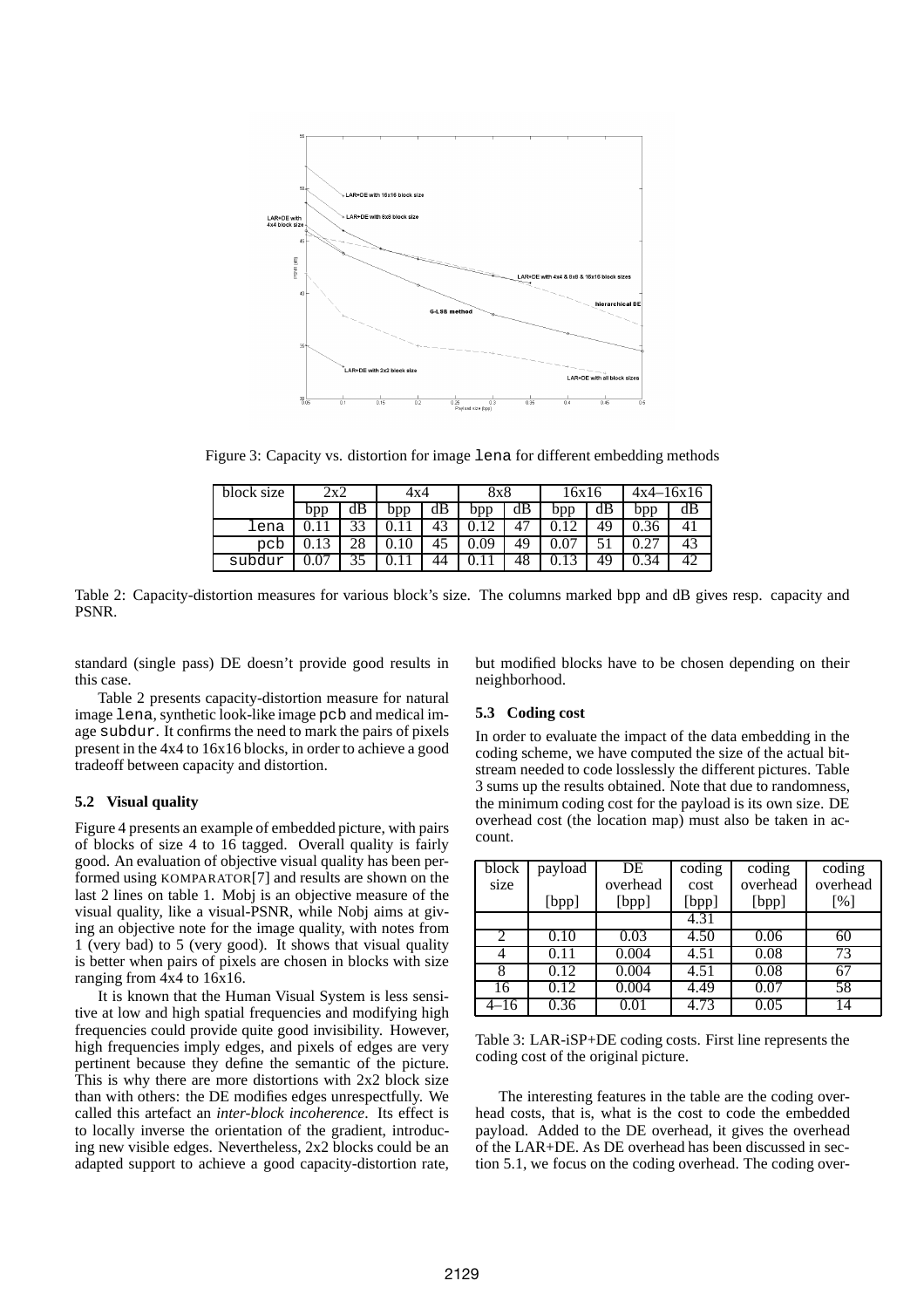

Figure 3: Capacity vs. distortion for image lena for different embedding methods

| block size | 2x2 |    | 4x4 |    | 8x8  |    | 16x16 |    | $4x4 - 16x16$ |    |
|------------|-----|----|-----|----|------|----|-------|----|---------------|----|
|            | ppp | dВ | bpp | dВ | bpp  | dВ | bpp   | aв | bpp           |    |
| ⊥ena       |     |    |     | 43 |      |    |       | 49 |               | 4, |
| pcb        |     |    | 10  | 40 | ).09 | 49 |       |    |               | 43 |
| subdur     |     |    |     | 44 |      | 48 |       | 49 | .34           |    |

Table 2: Capacity-distortion measures for various block's size. The columns marked bpp and dB gives resp. capacity and PSNR.

standard (single pass) DE doesn't provide good results in this case.

Table 2 presents capacity-distortion measure for natural image lena, synthetic look-like image pcb and medical image subdur. It confirms the need to mark the pairs of pixels present in the 4x4 to 16x16 blocks, in order to achieve a good tradeoff between capacity and distortion.

# **5.2 Visual quality**

Figure 4 presents an example of embedded picture, with pairs of blocks of size 4 to 16 tagged. Overall quality is fairly good. An evaluation of objective visual quality has been performed using KOMPARATOR[7] and results are shown on the last 2 lines on table 1. Mobj is an objective measure of the visual quality, like a visual-PSNR, while Nobj aims at giving an objective note for the image quality, with notes from 1 (very bad) to 5 (very good). It shows that visual quality is better when pairs of pixels are chosen in blocks with size ranging from 4x4 to 16x16.

It is known that the Human Visual System is less sensitive at low and high spatial frequencies and modifying high frequencies could provide quite good invisibility. However, high frequencies imply edges, and pixels of edges are very pertinent because they define the semantic of the picture. This is why there are more distortions with 2x2 block size than with others: the DE modifies edges unrespectfully. We called this artefact an *inter-block incoherence*. Its effect is to locally inverse the orientation of the gradient, introducing new visible edges. Nevertheless, 2x2 blocks could be an adapted support to achieve a good capacity-distortion rate,

but modified blocks have to be chosen depending on their neighborhood.

# **5.3 Coding cost**

In order to evaluate the impact of the data embedding in the coding scheme, we have computed the size of the actual bitstream needed to code losslessly the different pictures. Table 3 sums up the results obtained. Note that due to randomness, the minimum coding cost for the payload is its own size. DE overhead cost (the location map) must also be taken in account.

| block | payload | DE       | coding | coding   | coding   |
|-------|---------|----------|--------|----------|----------|
| size  |         | overhead | cost   | overhead | overhead |
|       | [bpp]   | [bpp]    | [bpp]  | [bpp]    | [%]      |
|       |         |          | 4.31   |          |          |
|       | 0.10    | 0.03     | 4.50   | 0.06     | 60       |
|       | 0.11    | 0.004    | 4.51   | 0.08     | 73       |
| 8     | 0.12    | 0.004    | 4.51   | 0.08     | 67       |
| 16    | 0.12    | 0.004    | 4.49   | 0.07     | 58       |
| 4–16  | 0.36    | 0.01     | 4.73   | 0.05     | 14       |

Table 3: LAR-iSP+DE coding costs. First line represents the coding cost of the original picture.

The interesting features in the table are the coding overhead costs, that is, what is the cost to code the embedded payload. Added to the DE overhead, it gives the overhead of the LAR+DE. As DE overhead has been discussed in section 5.1, we focus on the coding overhead. The coding over-